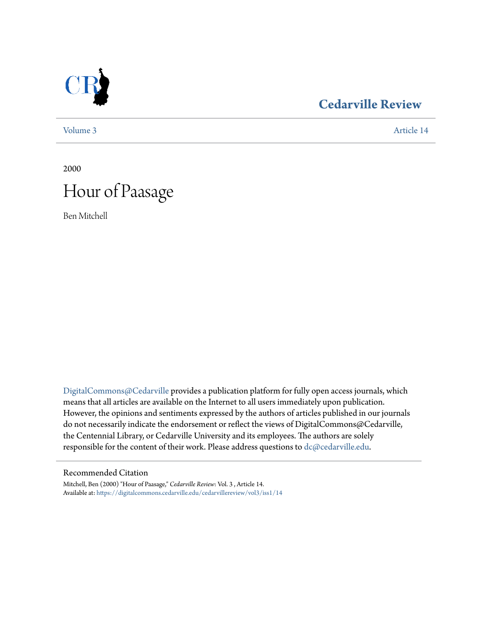

### **[Cedarville Review](https://digitalcommons.cedarville.edu/cedarvillereview?utm_source=digitalcommons.cedarville.edu%2Fcedarvillereview%2Fvol3%2Fiss1%2F14&utm_medium=PDF&utm_campaign=PDFCoverPages)**

[Volume 3](https://digitalcommons.cedarville.edu/cedarvillereview/vol3?utm_source=digitalcommons.cedarville.edu%2Fcedarvillereview%2Fvol3%2Fiss1%2F14&utm_medium=PDF&utm_campaign=PDFCoverPages) [Article 14](https://digitalcommons.cedarville.edu/cedarvillereview/vol3/iss1/14?utm_source=digitalcommons.cedarville.edu%2Fcedarvillereview%2Fvol3%2Fiss1%2F14&utm_medium=PDF&utm_campaign=PDFCoverPages)

2000

# Hour of Paasage

Ben Mitchell

[DigitalCommons@Cedarville](http://digitalcommons.cedarville.edu) provides a publication platform for fully open access journals, which means that all articles are available on the Internet to all users immediately upon publication. However, the opinions and sentiments expressed by the authors of articles published in our journals do not necessarily indicate the endorsement or reflect the views of DigitalCommons@Cedarville, the Centennial Library, or Cedarville University and its employees. The authors are solely responsible for the content of their work. Please address questions to [dc@cedarville.edu](mailto:dc@cedarville.edu).

#### Recommended Citation

Mitchell, Ben (2000) "Hour of Paasage," *Cedarville Review*: Vol. 3 , Article 14. Available at: [https://digitalcommons.cedarville.edu/cedarvillereview/vol3/iss1/14](https://digitalcommons.cedarville.edu/cedarvillereview/vol3/iss1/14?utm_source=digitalcommons.cedarville.edu%2Fcedarvillereview%2Fvol3%2Fiss1%2F14&utm_medium=PDF&utm_campaign=PDFCoverPages)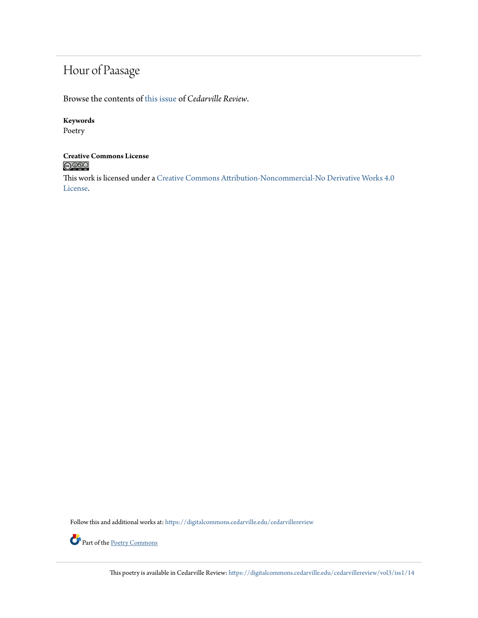## Hour of Paasage

Browse the contents of [this issue](https://digitalcommons.cedarville.edu/cedarvillereview/vol3/iss1) of *Cedarville Review*.

### **Keywords**

Poetry

### **Creative Commons License**  $\bigcirc$  000

This work is licensed under a [Creative Commons Attribution-Noncommercial-No Derivative Works 4.0](http://creativecommons.org/licenses/by-nc-nd/4.0/) [License.](http://creativecommons.org/licenses/by-nc-nd/4.0/)

Follow this and additional works at: [https://digitalcommons.cedarville.edu/cedarvillereview](https://digitalcommons.cedarville.edu/cedarvillereview?utm_source=digitalcommons.cedarville.edu%2Fcedarvillereview%2Fvol3%2Fiss1%2F14&utm_medium=PDF&utm_campaign=PDFCoverPages)



This poetry is available in Cedarville Review: [https://digitalcommons.cedarville.edu/cedarvillereview/vol3/iss1/14](https://digitalcommons.cedarville.edu/cedarvillereview/vol3/iss1/14?utm_source=digitalcommons.cedarville.edu%2Fcedarvillereview%2Fvol3%2Fiss1%2F14&utm_medium=PDF&utm_campaign=PDFCoverPages)